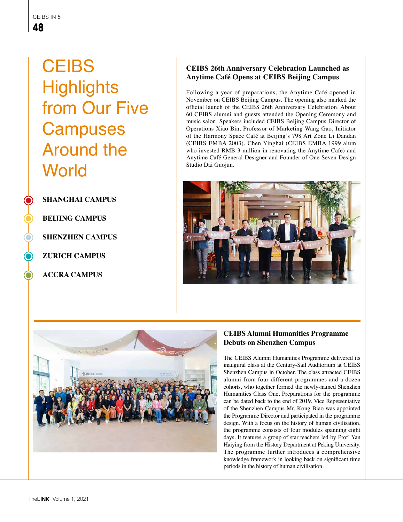**CEIBS Highlights** from Our Five **Campuses** Around the **World** 

**SHANGHAI CAMPUS**

**BEIJING CAMPUS**

**SHENZHEN CAMPUS**

**ZURICH CAMPUS**

**ACCRA CAMPUS**

# **CEIBS 26th Anniversary Celebration Launched as Anytime Café Opens at CEIBS Beijing Campus**

Following a year of preparations, the Anytime Café opened in November on CEIBS Beijing Campus. The opening also marked the official launch of the CEIBS 26th Anniversary Celebration. About 60 CEIBS alumni and guests attended the Opening Ceremony and music salon. Speakers included CEIBS Beijing Campus Director of Operations Xiao Bin, Professor of Marketing Wang Gao, Initiator of the Harmony Space Café at Beijing's 798 Art Zone Li Dandan (CEIBS EMBA 2003), Chen Yinghai (CEIBS EMBA 1999 alum who invested RMB 3 million in renovating the Anytime Café) and Anytime Café General Designer and Founder of One Seven Design Studio Dai Guojun.





## **CEIBS Alumni Humanities Programme Debuts on Shenzhen Campus**

The CEIBS Alumni Humanities Programme delivered its inaugural class at the Century-Sail Auditorium at CEIBS Shenzhen Campus in October. The class attracted CEIBS alumni from four different programmes and a dozen cohorts, who together formed the newly-named Shenzhen Humanities Class One. Preparations for the programme can be dated back to the end of 2019. Vice Representative of the Shenzhen Campus Mr. Kong Biao was appointed the Programme Director and participated in the programme design. With a focus on the history of human civilisation, the programme consists of four modules spanning eight days. It features a group of star teachers led by Prof. Yan Haiying from the History Department at Peking University. The programme further introduces a comprehensive knowledge framework in looking back on significant time periods in the history of human civilisation.